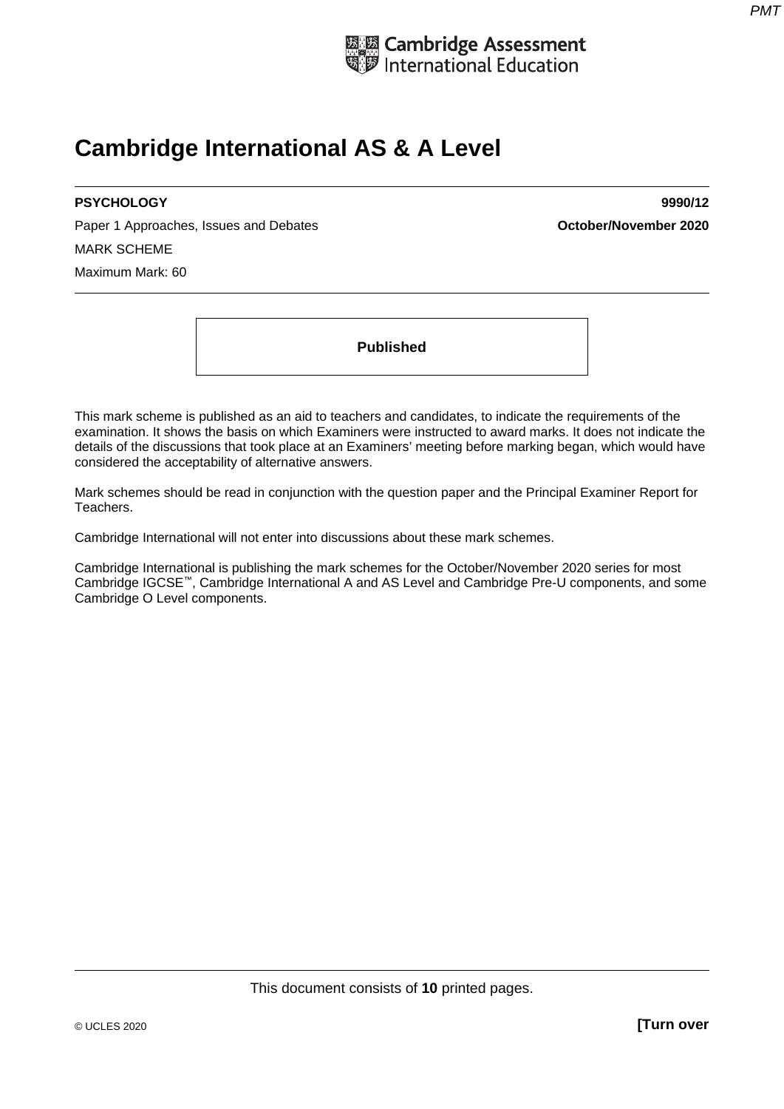

## **Cambridge International AS & A Level**

Paper 1 Approaches, Issues and Debates **Container and Container and Container 2020 October/November 2020** MARK SCHEME Maximum Mark: 60

**PSYCHOLOGY 9990/12** 

**Published** 

This mark scheme is published as an aid to teachers and candidates, to indicate the requirements of the examination. It shows the basis on which Examiners were instructed to award marks. It does not indicate the details of the discussions that took place at an Examiners' meeting before marking began, which would have considered the acceptability of alternative answers.

Mark schemes should be read in conjunction with the question paper and the Principal Examiner Report for Teachers.

Cambridge International will not enter into discussions about these mark schemes.

Cambridge International is publishing the mark schemes for the October/November 2020 series for most Cambridge IGCSE™, Cambridge International A and AS Level and Cambridge Pre-U components, and some Cambridge O Level components.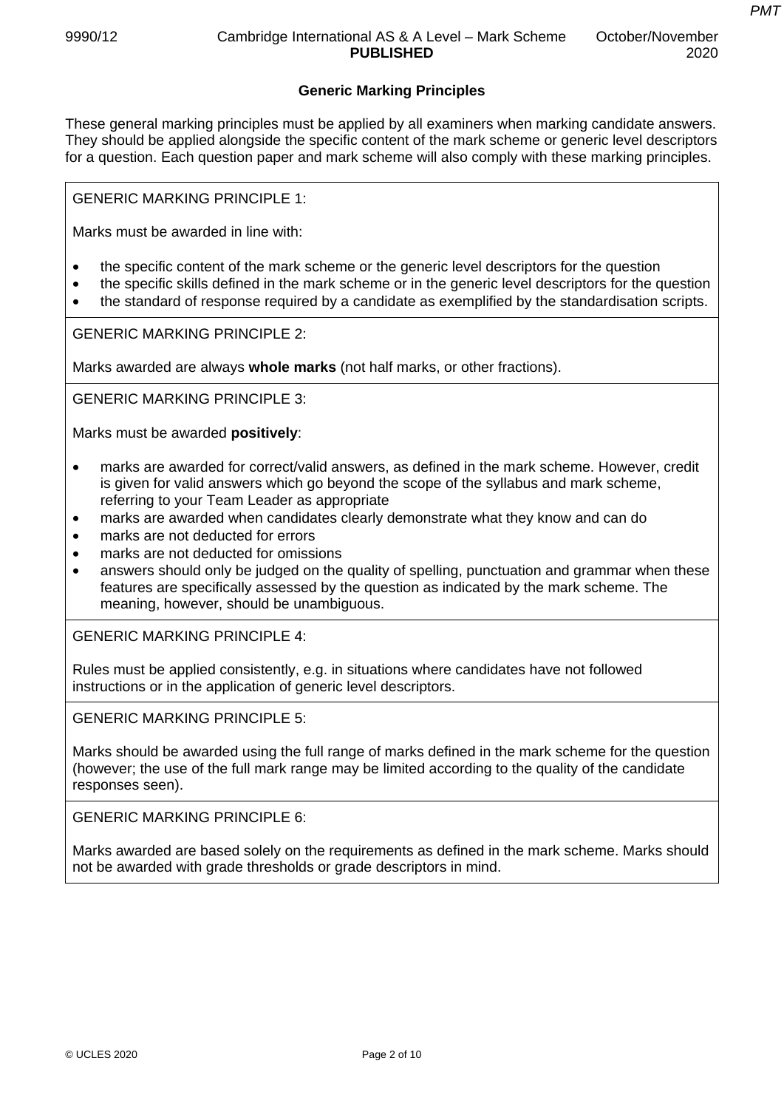## **Generic Marking Principles**

These general marking principles must be applied by all examiners when marking candidate answers. They should be applied alongside the specific content of the mark scheme or generic level descriptors for a question. Each question paper and mark scheme will also comply with these marking principles.

GENERIC MARKING PRINCIPLE 1:

Marks must be awarded in line with:

- the specific content of the mark scheme or the generic level descriptors for the question
- the specific skills defined in the mark scheme or in the generic level descriptors for the question
- the standard of response required by a candidate as exemplified by the standardisation scripts.

GENERIC MARKING PRINCIPLE 2:

Marks awarded are always **whole marks** (not half marks, or other fractions).

GENERIC MARKING PRINCIPLE 3:

Marks must be awarded **positively**:

- marks are awarded for correct/valid answers, as defined in the mark scheme. However, credit is given for valid answers which go beyond the scope of the syllabus and mark scheme, referring to your Team Leader as appropriate
- marks are awarded when candidates clearly demonstrate what they know and can do
- marks are not deducted for errors
- marks are not deducted for omissions
- answers should only be judged on the quality of spelling, punctuation and grammar when these features are specifically assessed by the question as indicated by the mark scheme. The meaning, however, should be unambiguous.

GENERIC MARKING PRINCIPLE 4:

Rules must be applied consistently, e.g. in situations where candidates have not followed instructions or in the application of generic level descriptors.

GENERIC MARKING PRINCIPLE 5:

Marks should be awarded using the full range of marks defined in the mark scheme for the question (however; the use of the full mark range may be limited according to the quality of the candidate responses seen).

GENERIC MARKING PRINCIPLE 6:

Marks awarded are based solely on the requirements as defined in the mark scheme. Marks should not be awarded with grade thresholds or grade descriptors in mind.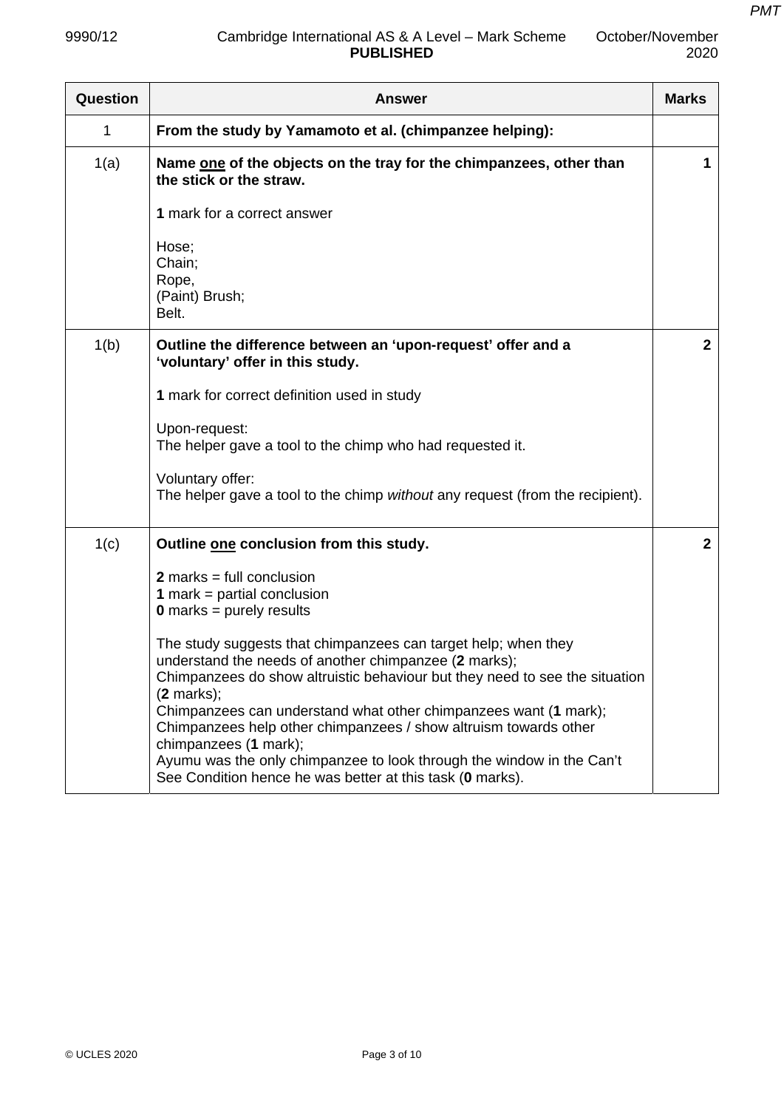| Question | <b>Marks</b><br><b>Answer</b>                                                                                                                                                                                                                                                                                                                                                                                                                                                                                                                                                                                                         |              |
|----------|---------------------------------------------------------------------------------------------------------------------------------------------------------------------------------------------------------------------------------------------------------------------------------------------------------------------------------------------------------------------------------------------------------------------------------------------------------------------------------------------------------------------------------------------------------------------------------------------------------------------------------------|--------------|
| 1        | From the study by Yamamoto et al. (chimpanzee helping):                                                                                                                                                                                                                                                                                                                                                                                                                                                                                                                                                                               |              |
| 1(a)     | Name one of the objects on the tray for the chimpanzees, other than<br>the stick or the straw.                                                                                                                                                                                                                                                                                                                                                                                                                                                                                                                                        | 1            |
|          | 1 mark for a correct answer                                                                                                                                                                                                                                                                                                                                                                                                                                                                                                                                                                                                           |              |
|          | Hose;<br>Chain;<br>Rope,<br>(Paint) Brush;<br>Belt.                                                                                                                                                                                                                                                                                                                                                                                                                                                                                                                                                                                   |              |
| 1(b)     | Outline the difference between an 'upon-request' offer and a<br>'voluntary' offer in this study.                                                                                                                                                                                                                                                                                                                                                                                                                                                                                                                                      |              |
|          | 1 mark for correct definition used in study                                                                                                                                                                                                                                                                                                                                                                                                                                                                                                                                                                                           |              |
|          | Upon-request:<br>The helper gave a tool to the chimp who had requested it.                                                                                                                                                                                                                                                                                                                                                                                                                                                                                                                                                            |              |
|          | Voluntary offer:<br>The helper gave a tool to the chimp without any request (from the recipient).                                                                                                                                                                                                                                                                                                                                                                                                                                                                                                                                     |              |
| 1(c)     | Outline one conclusion from this study.                                                                                                                                                                                                                                                                                                                                                                                                                                                                                                                                                                                               | $\mathbf{2}$ |
|          | $2$ marks = full conclusion<br><b>1</b> mark = partial conclusion<br><b>0</b> marks = purely results<br>The study suggests that chimpanzees can target help; when they<br>understand the needs of another chimpanzee (2 marks);<br>Chimpanzees do show altruistic behaviour but they need to see the situation<br>$(2$ marks);<br>Chimpanzees can understand what other chimpanzees want (1 mark);<br>Chimpanzees help other chimpanzees / show altruism towards other<br>chimpanzees (1 mark);<br>Ayumu was the only chimpanzee to look through the window in the Can't<br>See Condition hence he was better at this task (0 marks). |              |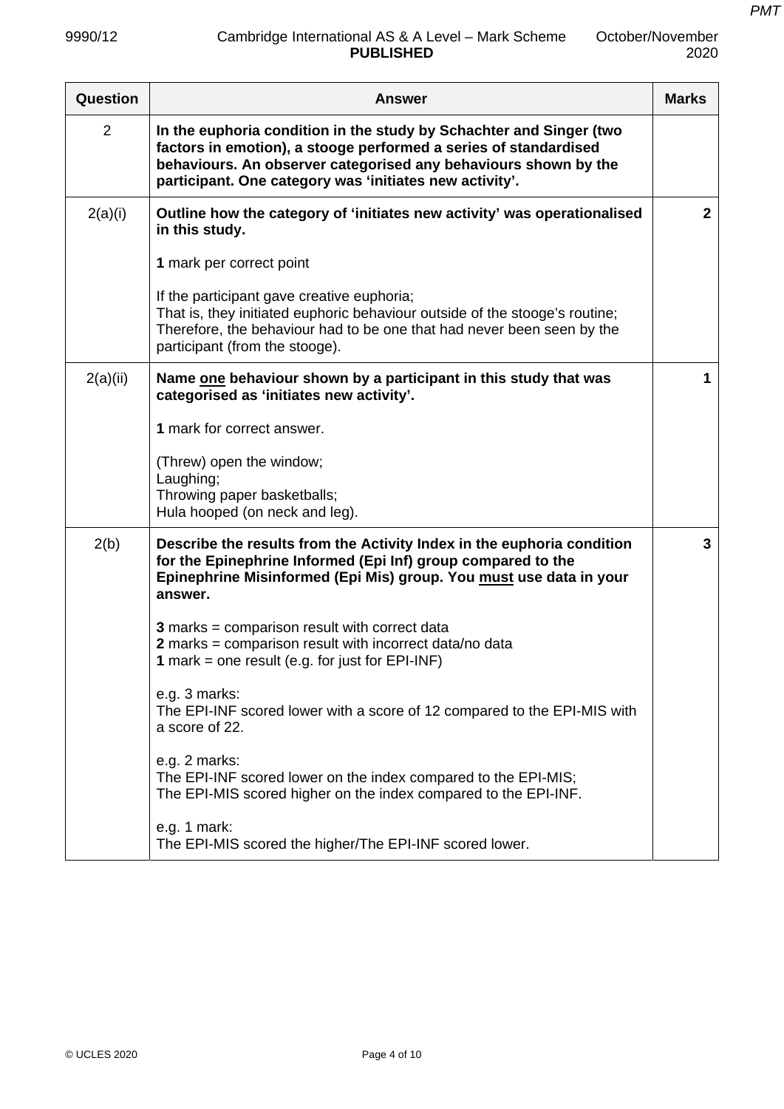| Question       | <b>Marks</b><br><b>Answer</b>                                                                                                                                                                                                                                         |              |
|----------------|-----------------------------------------------------------------------------------------------------------------------------------------------------------------------------------------------------------------------------------------------------------------------|--------------|
| $\overline{2}$ | In the euphoria condition in the study by Schachter and Singer (two<br>factors in emotion), a stooge performed a series of standardised<br>behaviours. An observer categorised any behaviours shown by the<br>participant. One category was 'initiates new activity'. |              |
| 2(a)(i)        | Outline how the category of 'initiates new activity' was operationalised<br>in this study.                                                                                                                                                                            | $\mathbf{2}$ |
|                | 1 mark per correct point                                                                                                                                                                                                                                              |              |
|                | If the participant gave creative euphoria;<br>That is, they initiated euphoric behaviour outside of the stooge's routine;<br>Therefore, the behaviour had to be one that had never been seen by the<br>participant (from the stooge).                                 |              |
| 2(a)(ii)       | Name one behaviour shown by a participant in this study that was<br>categorised as 'initiates new activity'.                                                                                                                                                          | 1            |
|                | 1 mark for correct answer.                                                                                                                                                                                                                                            |              |
|                | (Threw) open the window;<br>Laughing;<br>Throwing paper basketballs;<br>Hula hooped (on neck and leg).                                                                                                                                                                |              |
| 2(b)           | Describe the results from the Activity Index in the euphoria condition<br>for the Epinephrine Informed (Epi Inf) group compared to the<br>Epinephrine Misinformed (Epi Mis) group. You must use data in your<br>answer.                                               | 3            |
|                | <b>3</b> marks = comparison result with correct data<br>2 marks = comparison result with incorrect data/no data<br>1 mark = one result (e.g. for just for EPI-INF)                                                                                                    |              |
|                | e.g. 3 marks:<br>The EPI-INF scored lower with a score of 12 compared to the EPI-MIS with<br>a score of 22.                                                                                                                                                           |              |
|                | e.g. 2 marks:<br>The EPI-INF scored lower on the index compared to the EPI-MIS;<br>The EPI-MIS scored higher on the index compared to the EPI-INF.                                                                                                                    |              |
|                | e.g. 1 mark:<br>The EPI-MIS scored the higher/The EPI-INF scored lower.                                                                                                                                                                                               |              |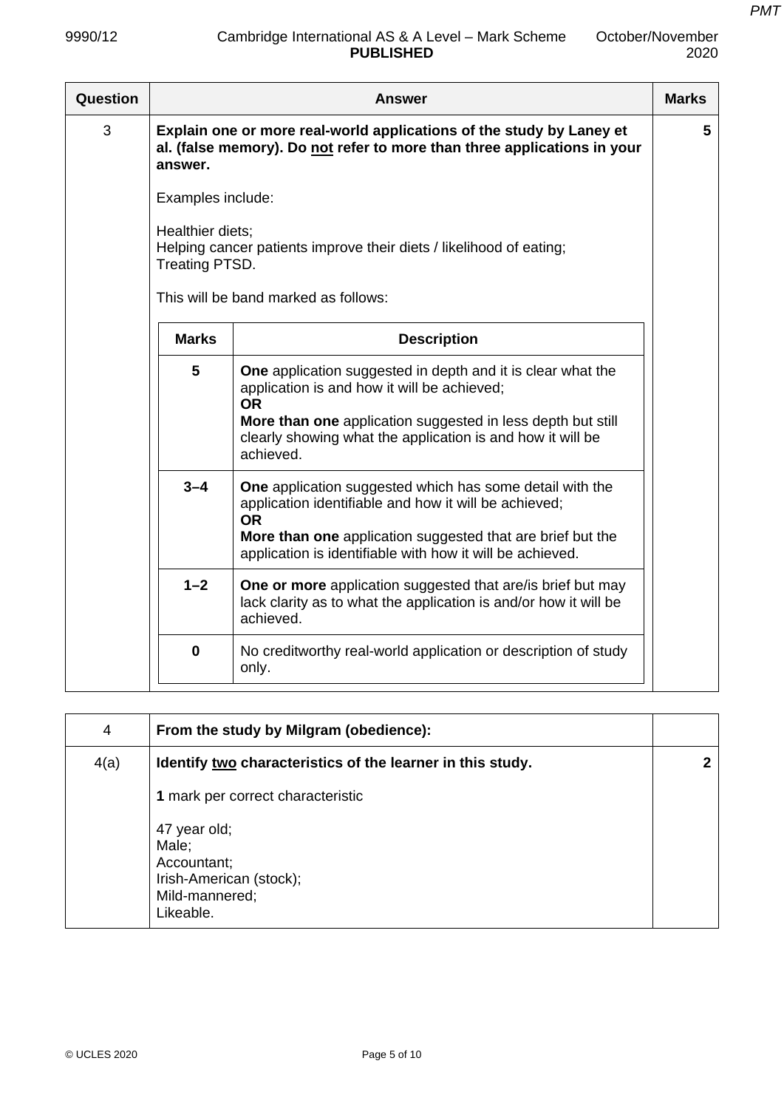| October/November |
|------------------|
| 2020             |

| Question | <b>Answer</b>                                                                                                                                                                    |                                                                                                                                                                                                                                                                          | <b>Marks</b> |  |
|----------|----------------------------------------------------------------------------------------------------------------------------------------------------------------------------------|--------------------------------------------------------------------------------------------------------------------------------------------------------------------------------------------------------------------------------------------------------------------------|--------------|--|
| 3        | Explain one or more real-world applications of the study by Laney et<br>al. (false memory). Do not refer to more than three applications in your<br>answer.<br>Examples include: |                                                                                                                                                                                                                                                                          |              |  |
|          |                                                                                                                                                                                  |                                                                                                                                                                                                                                                                          |              |  |
|          | Healthier diets;<br>Treating PTSD.                                                                                                                                               | Helping cancer patients improve their diets / likelihood of eating;                                                                                                                                                                                                      |              |  |
|          |                                                                                                                                                                                  | This will be band marked as follows:                                                                                                                                                                                                                                     |              |  |
|          | <b>Marks</b>                                                                                                                                                                     | <b>Description</b>                                                                                                                                                                                                                                                       |              |  |
|          | 5                                                                                                                                                                                | <b>One</b> application suggested in depth and it is clear what the<br>application is and how it will be achieved;<br><b>OR</b><br>More than one application suggested in less depth but still<br>clearly showing what the application is and how it will be<br>achieved. |              |  |
|          | $3 - 4$                                                                                                                                                                          | <b>One</b> application suggested which has some detail with the<br>application identifiable and how it will be achieved;<br><b>OR</b><br>More than one application suggested that are brief but the<br>application is identifiable with how it will be achieved.         |              |  |
|          | $1 - 2$                                                                                                                                                                          | One or more application suggested that are/is brief but may<br>lack clarity as to what the application is and/or how it will be<br>achieved.                                                                                                                             |              |  |
|          | $\mathbf 0$                                                                                                                                                                      | No creditworthy real-world application or description of study<br>only.                                                                                                                                                                                                  |              |  |

| 4    | From the study by Milgram (obedience):                                                         |  |
|------|------------------------------------------------------------------------------------------------|--|
| 4(a) | Identify two characteristics of the learner in this study.                                     |  |
|      | 1 mark per correct characteristic                                                              |  |
|      | 47 year old;<br>Male;<br>Accountant;<br>Irish-American (stock);<br>Mild-mannered;<br>Likeable. |  |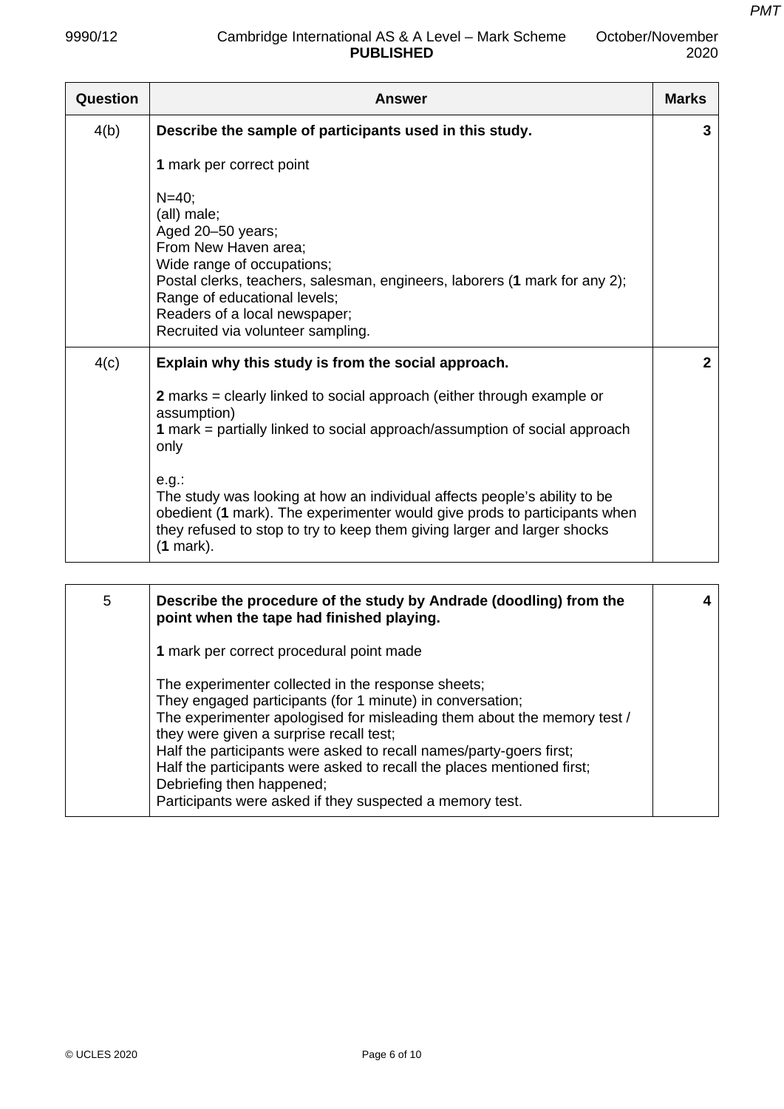| Question | <b>Answer</b>                                                                                                                                                                                                                                                                          | <b>Marks</b> |
|----------|----------------------------------------------------------------------------------------------------------------------------------------------------------------------------------------------------------------------------------------------------------------------------------------|--------------|
| 4(b)     | Describe the sample of participants used in this study.                                                                                                                                                                                                                                | 3            |
|          | 1 mark per correct point                                                                                                                                                                                                                                                               |              |
|          | $N=40$ ;<br>(all) male;<br>Aged 20-50 years;<br>From New Haven area;<br>Wide range of occupations;<br>Postal clerks, teachers, salesman, engineers, laborers (1 mark for any 2);<br>Range of educational levels;<br>Readers of a local newspaper;<br>Recruited via volunteer sampling. |              |
| 4(c)     | Explain why this study is from the social approach.                                                                                                                                                                                                                                    |              |
|          | 2 marks = clearly linked to social approach (either through example or<br>assumption)<br>1 mark = partially linked to social approach/assumption of social approach<br>only                                                                                                            |              |
|          | e.g.<br>The study was looking at how an individual affects people's ability to be<br>obedient (1 mark). The experimenter would give prods to participants when<br>they refused to stop to try to keep them giving larger and larger shocks<br>$(1$ mark).                              |              |

| 5 | Describe the procedure of the study by Andrade (doodling) from the<br>point when the tape had finished playing.                                                                                                                                                                                                                                                                                                                                                                 |  |
|---|---------------------------------------------------------------------------------------------------------------------------------------------------------------------------------------------------------------------------------------------------------------------------------------------------------------------------------------------------------------------------------------------------------------------------------------------------------------------------------|--|
|   | 1 mark per correct procedural point made                                                                                                                                                                                                                                                                                                                                                                                                                                        |  |
|   | The experimenter collected in the response sheets;<br>They engaged participants (for 1 minute) in conversation;<br>The experimenter apologised for misleading them about the memory test /<br>they were given a surprise recall test;<br>Half the participants were asked to recall names/party-goers first;<br>Half the participants were asked to recall the places mentioned first;<br>Debriefing then happened;<br>Participants were asked if they suspected a memory test. |  |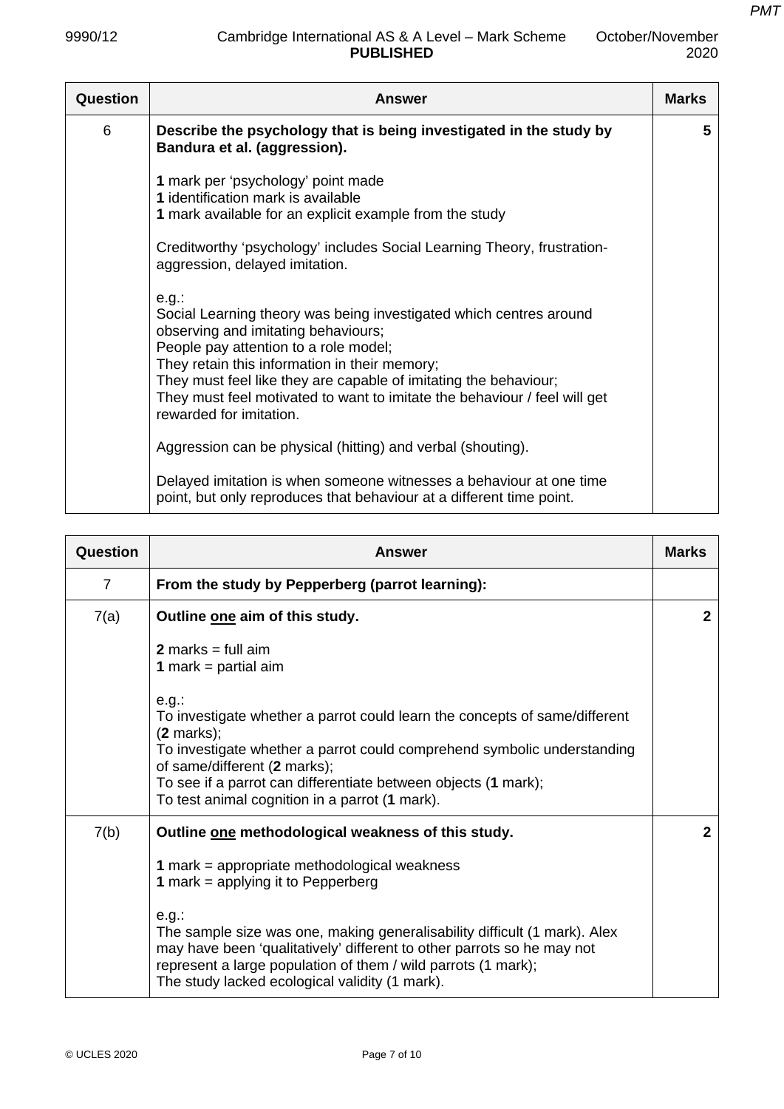| Question | Answer                                                                                                                                                                                                                                                                                                                                                                                      | <b>Marks</b> |
|----------|---------------------------------------------------------------------------------------------------------------------------------------------------------------------------------------------------------------------------------------------------------------------------------------------------------------------------------------------------------------------------------------------|--------------|
| 6        | Describe the psychology that is being investigated in the study by<br>Bandura et al. (aggression).                                                                                                                                                                                                                                                                                          | 5            |
|          | 1 mark per 'psychology' point made<br>1 identification mark is available<br>1 mark available for an explicit example from the study                                                                                                                                                                                                                                                         |              |
|          | Creditworthy 'psychology' includes Social Learning Theory, frustration-<br>aggression, delayed imitation.                                                                                                                                                                                                                                                                                   |              |
|          | $e.g.$ :<br>Social Learning theory was being investigated which centres around<br>observing and imitating behaviours;<br>People pay attention to a role model;<br>They retain this information in their memory;<br>They must feel like they are capable of imitating the behaviour;<br>They must feel motivated to want to imitate the behaviour / feel will get<br>rewarded for imitation. |              |
|          | Aggression can be physical (hitting) and verbal (shouting).                                                                                                                                                                                                                                                                                                                                 |              |
|          | Delayed imitation is when someone witnesses a behaviour at one time<br>point, but only reproduces that behaviour at a different time point.                                                                                                                                                                                                                                                 |              |

| Question       | <b>Answer</b>                                                                                                                                                                                                                                                                                                                              |              |
|----------------|--------------------------------------------------------------------------------------------------------------------------------------------------------------------------------------------------------------------------------------------------------------------------------------------------------------------------------------------|--------------|
| $\overline{7}$ | From the study by Pepperberg (parrot learning):                                                                                                                                                                                                                                                                                            |              |
| 7(a)           | Outline one aim of this study.                                                                                                                                                                                                                                                                                                             | $\mathbf{2}$ |
|                | <b>2</b> marks = full aim<br><b>1</b> mark = partial aim                                                                                                                                                                                                                                                                                   |              |
|                | e.g.<br>To investigate whether a parrot could learn the concepts of same/different<br>$(2 \text{ marks})$ ;<br>To investigate whether a parrot could comprehend symbolic understanding<br>of same/different (2 marks);<br>To see if a parrot can differentiate between objects (1 mark);<br>To test animal cognition in a parrot (1 mark). |              |
| 7(b)           | Outline one methodological weakness of this study.                                                                                                                                                                                                                                                                                         | $\mathbf{2}$ |
|                | 1 mark = appropriate methodological weakness<br><b>1</b> mark = applying it to Pepperberg                                                                                                                                                                                                                                                  |              |
|                | e.g.<br>The sample size was one, making generalisability difficult (1 mark). Alex<br>may have been 'qualitatively' different to other parrots so he may not<br>represent a large population of them / wild parrots (1 mark);<br>The study lacked ecological validity (1 mark).                                                             |              |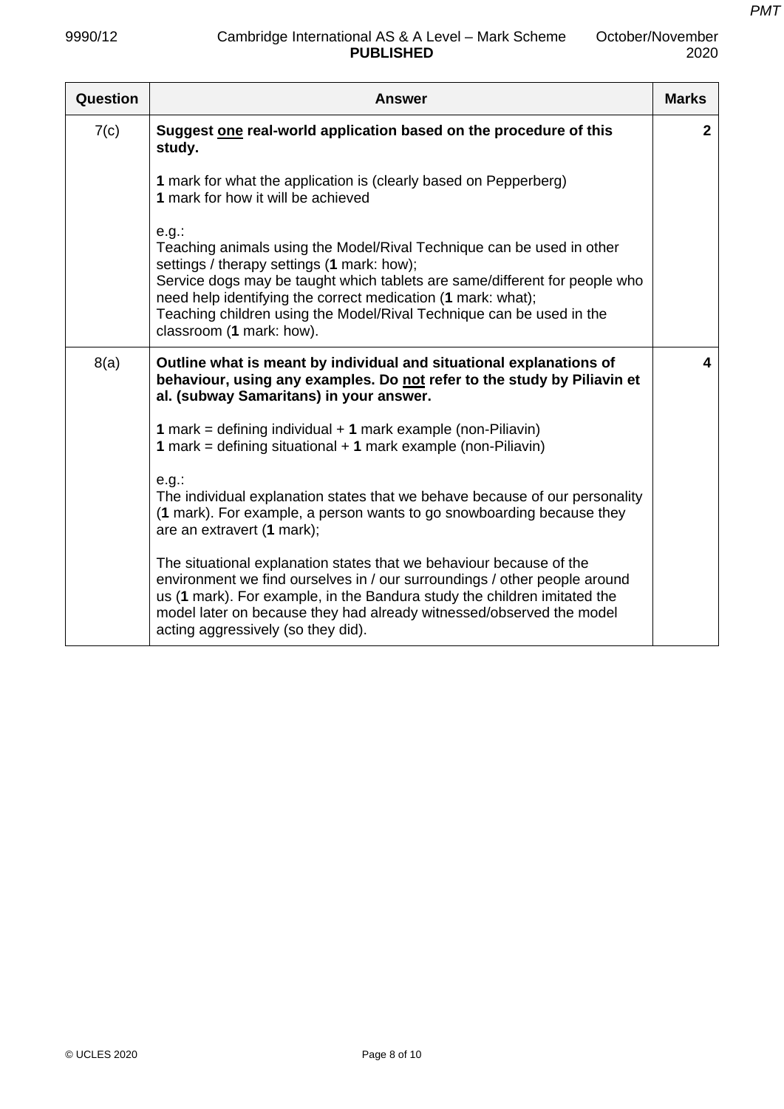| Question | <b>Answer</b>                                                                                                                                                                                                                                                                                                                                                                     | <b>Marks</b> |
|----------|-----------------------------------------------------------------------------------------------------------------------------------------------------------------------------------------------------------------------------------------------------------------------------------------------------------------------------------------------------------------------------------|--------------|
| 7(c)     | Suggest one real-world application based on the procedure of this<br>study.                                                                                                                                                                                                                                                                                                       | $\mathbf{2}$ |
|          | 1 mark for what the application is (clearly based on Pepperberg)<br>1 mark for how it will be achieved                                                                                                                                                                                                                                                                            |              |
|          | $e.g.$ :<br>Teaching animals using the Model/Rival Technique can be used in other<br>settings / therapy settings (1 mark: how);<br>Service dogs may be taught which tablets are same/different for people who<br>need help identifying the correct medication (1 mark: what);<br>Teaching children using the Model/Rival Technique can be used in the<br>classroom (1 mark: how). |              |
| 8(a)     | Outline what is meant by individual and situational explanations of<br>behaviour, using any examples. Do not refer to the study by Piliavin et<br>al. (subway Samaritans) in your answer.                                                                                                                                                                                         | 4            |
|          | 1 mark = defining individual $+$ 1 mark example (non-Piliavin)<br>1 mark = defining situational $+$ 1 mark example (non-Piliavin)                                                                                                                                                                                                                                                 |              |
|          | $e.g.$ :<br>The individual explanation states that we behave because of our personality<br>(1 mark). For example, a person wants to go snowboarding because they<br>are an extravert (1 mark);                                                                                                                                                                                    |              |
|          | The situational explanation states that we behaviour because of the<br>environment we find ourselves in / our surroundings / other people around<br>us (1 mark). For example, in the Bandura study the children imitated the<br>model later on because they had already witnessed/observed the model<br>acting aggressively (so they did).                                        |              |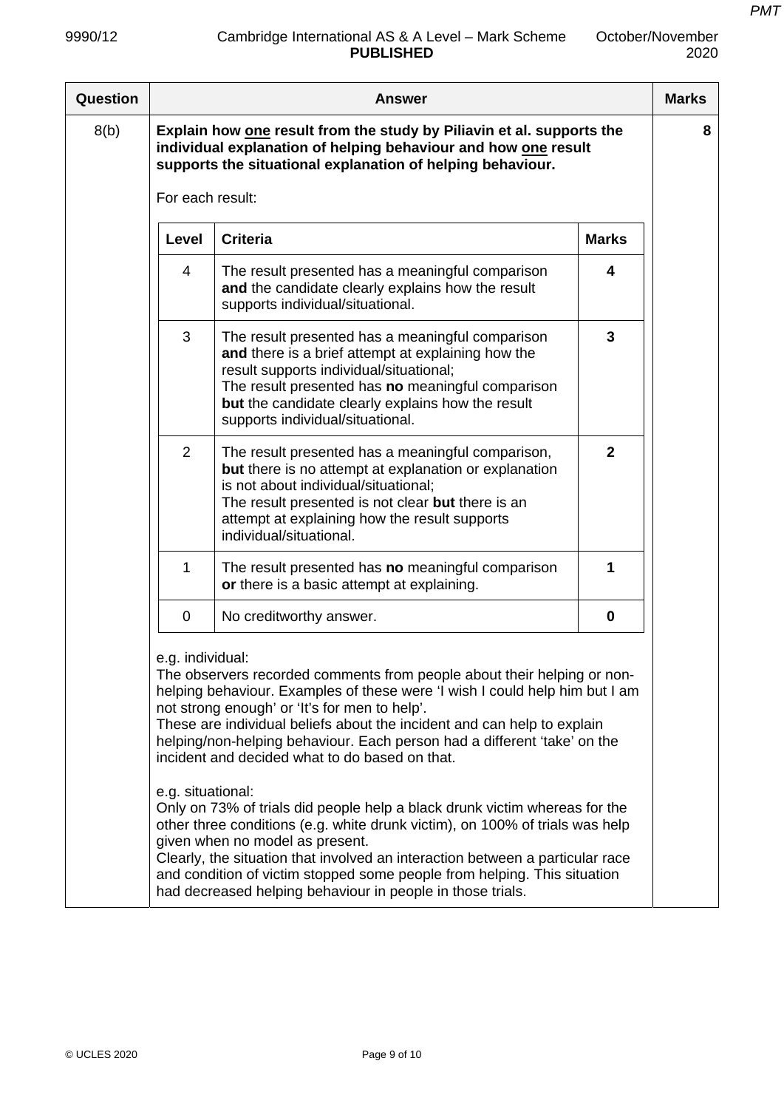| Question |                                       | <b>Answer</b>                                                                                                                                                                                                                                                                                                                                                                                                            |                | <b>Marks</b> |
|----------|---------------------------------------|--------------------------------------------------------------------------------------------------------------------------------------------------------------------------------------------------------------------------------------------------------------------------------------------------------------------------------------------------------------------------------------------------------------------------|----------------|--------------|
| 8(b)     |                                       | Explain how one result from the study by Piliavin et al. supports the<br>individual explanation of helping behaviour and how one result<br>supports the situational explanation of helping behaviour.                                                                                                                                                                                                                    |                | 8            |
|          | For each result:                      |                                                                                                                                                                                                                                                                                                                                                                                                                          |                |              |
|          | Level                                 | <b>Criteria</b>                                                                                                                                                                                                                                                                                                                                                                                                          | <b>Marks</b>   |              |
|          | $\overline{4}$                        | The result presented has a meaningful comparison<br>and the candidate clearly explains how the result<br>supports individual/situational.                                                                                                                                                                                                                                                                                | 4              |              |
|          | 3                                     | The result presented has a meaningful comparison<br>and there is a brief attempt at explaining how the<br>result supports individual/situational;<br>The result presented has no meaningful comparison<br>but the candidate clearly explains how the result<br>supports individual/situational.                                                                                                                          | 3              |              |
|          | $\overline{2}$                        | The result presented has a meaningful comparison,<br>but there is no attempt at explanation or explanation<br>is not about individual/situational;<br>The result presented is not clear but there is an<br>attempt at explaining how the result supports<br>individual/situational.                                                                                                                                      | $\overline{2}$ |              |
|          | 1                                     | The result presented has no meaningful comparison<br>or there is a basic attempt at explaining.                                                                                                                                                                                                                                                                                                                          | 1              |              |
|          | $\mathbf 0$                           | No creditworthy answer.                                                                                                                                                                                                                                                                                                                                                                                                  | $\mathbf 0$    |              |
|          | e.g. individual:<br>e.g. situational: | The observers recorded comments from people about their helping or non-<br>helping behaviour. Examples of these were 'I wish I could help him but I am<br>not strong enough' or 'It's for men to help'.<br>These are individual beliefs about the incident and can help to explain<br>helping/non-helping behaviour. Each person had a different 'take' on the<br>incident and decided what to do based on that.         |                |              |
|          |                                       | Only on 73% of trials did people help a black drunk victim whereas for the<br>other three conditions (e.g. white drunk victim), on 100% of trials was help<br>given when no model as present.<br>Clearly, the situation that involved an interaction between a particular race<br>and condition of victim stopped some people from helping. This situation<br>had decreased helping behaviour in people in those trials. |                |              |